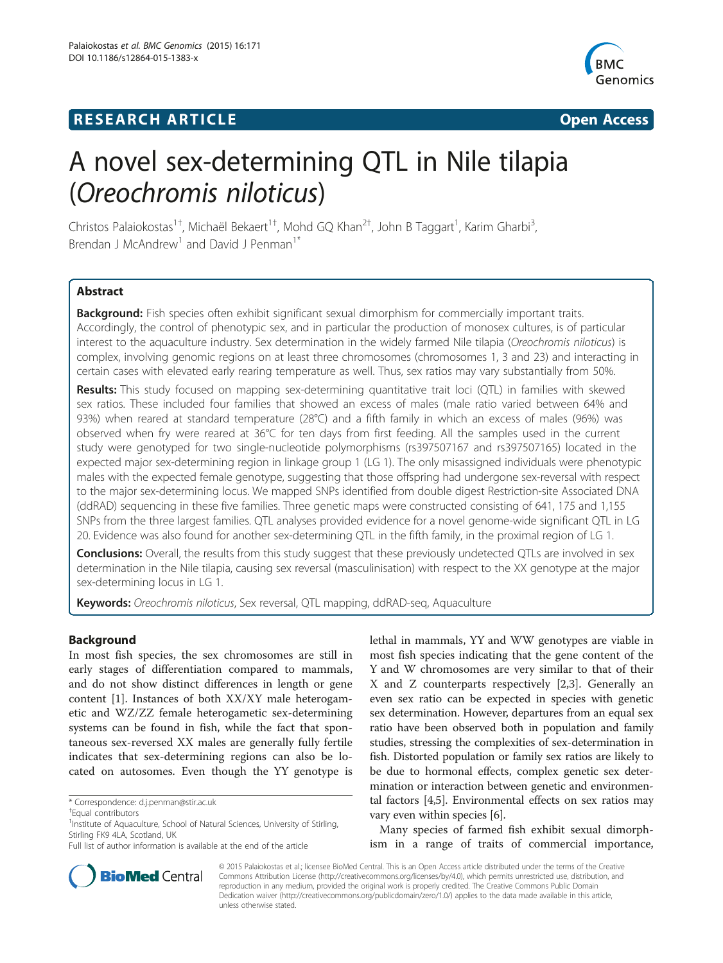# **RESEARCH ARTICLE Example 2014 The SEAR CH ACCESS**



# A novel sex-determining QTL in Nile tilapia (Oreochromis niloticus)

Christos Palaiokostas<sup>1†</sup>, Michaël Bekaert<sup>1†</sup>, Mohd GQ Khan<sup>2†</sup>, John B Taggart<sup>1</sup>, Karim Gharbi<sup>3</sup> , Brendan J McAndrew<sup>1</sup> and David J Penman<sup>1\*</sup>

# Abstract

Background: Fish species often exhibit significant sexual dimorphism for commercially important traits. Accordingly, the control of phenotypic sex, and in particular the production of monosex cultures, is of particular interest to the aquaculture industry. Sex determination in the widely farmed Nile tilapia (Oreochromis niloticus) is complex, involving genomic regions on at least three chromosomes (chromosomes 1, 3 and 23) and interacting in certain cases with elevated early rearing temperature as well. Thus, sex ratios may vary substantially from 50%.

Results: This study focused on mapping sex-determining quantitative trait loci (QTL) in families with skewed sex ratios. These included four families that showed an excess of males (male ratio varied between 64% and 93%) when reared at standard temperature (28°C) and a fifth family in which an excess of males (96%) was observed when fry were reared at 36°C for ten days from first feeding. All the samples used in the current study were genotyped for two single-nucleotide polymorphisms (rs397507167 and rs397507165) located in the expected major sex-determining region in linkage group 1 (LG 1). The only misassigned individuals were phenotypic males with the expected female genotype, suggesting that those offspring had undergone sex-reversal with respect to the major sex-determining locus. We mapped SNPs identified from double digest Restriction-site Associated DNA (ddRAD) sequencing in these five families. Three genetic maps were constructed consisting of 641, 175 and 1,155 SNPs from the three largest families. QTL analyses provided evidence for a novel genome-wide significant QTL in LG 20. Evidence was also found for another sex-determining QTL in the fifth family, in the proximal region of LG 1.

**Conclusions:** Overall, the results from this study suggest that these previously undetected QTLs are involved in sex determination in the Nile tilapia, causing sex reversal (masculinisation) with respect to the XX genotype at the major sex-determining locus in LG 1.

Keywords: Oreochromis niloticus, Sex reversal, QTL mapping, ddRAD-seq, Aquaculture

#### Background

In most fish species, the sex chromosomes are still in early stages of differentiation compared to mammals, and do not show distinct differences in length or gene content [[1\]](#page-8-0). Instances of both XX/XY male heterogametic and WZ/ZZ female heterogametic sex-determining systems can be found in fish, while the fact that spontaneous sex-reversed XX males are generally fully fertile indicates that sex-determining regions can also be located on autosomes. Even though the YY genotype is

\* Correspondence: [d.j.penman@stir.ac.uk](mailto:d.j.penman@stir.ac.uk) †

lethal in mammals, YY and WW genotypes are viable in most fish species indicating that the gene content of the Y and W chromosomes are very similar to that of their X and Z counterparts respectively [[2,3\]](#page-8-0). Generally an even sex ratio can be expected in species with genetic sex determination. However, departures from an equal sex ratio have been observed both in population and family studies, stressing the complexities of sex-determination in fish. Distorted population or family sex ratios are likely to be due to hormonal effects, complex genetic sex determination or interaction between genetic and environmental factors [\[4,5\]](#page-8-0). Environmental effects on sex ratios may vary even within species [[6\]](#page-8-0).

Many species of farmed fish exhibit sexual dimorphism in a range of traits of commercial importance,



© 2015 Palaiokostas et al.; licensee BioMed Central. This is an Open Access article distributed under the terms of the Creative Commons Attribution License [\(http://creativecommons.org/licenses/by/4.0\)](http://creativecommons.org/licenses/by/4.0), which permits unrestricted use, distribution, and reproduction in any medium, provided the original work is properly credited. The Creative Commons Public Domain Dedication waiver [\(http://creativecommons.org/publicdomain/zero/1.0/](http://creativecommons.org/publicdomain/zero/1.0/)) applies to the data made available in this article, unless otherwise stated.

Equal contributors

<sup>&</sup>lt;sup>1</sup>Institute of Aquaculture, School of Natural Sciences, University of Stirling, Stirling FK9 4LA, Scotland, UK

Full list of author information is available at the end of the article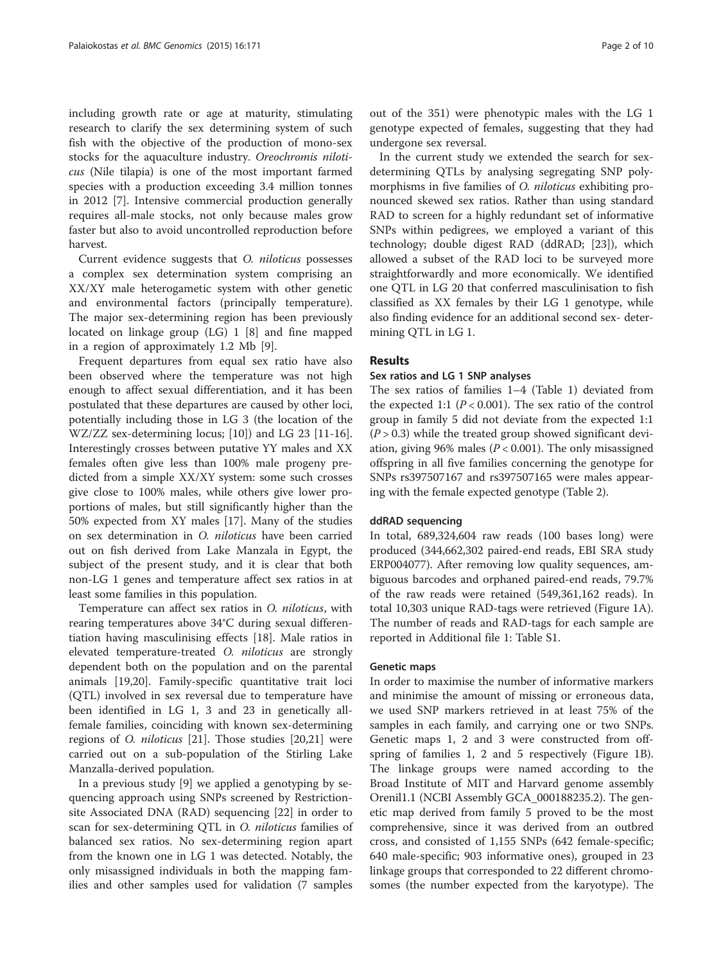including growth rate or age at maturity, stimulating research to clarify the sex determining system of such fish with the objective of the production of mono-sex stocks for the aquaculture industry. Oreochromis niloticus (Nile tilapia) is one of the most important farmed species with a production exceeding 3.4 million tonnes in 2012 [\[7](#page-8-0)]. Intensive commercial production generally requires all-male stocks, not only because males grow faster but also to avoid uncontrolled reproduction before harvest.

Current evidence suggests that O. niloticus possesses a complex sex determination system comprising an XX/XY male heterogametic system with other genetic and environmental factors (principally temperature). The major sex-determining region has been previously located on linkage group (LG) 1 [\[8](#page-8-0)] and fine mapped in a region of approximately 1.2 Mb [\[9\]](#page-8-0).

Frequent departures from equal sex ratio have also been observed where the temperature was not high enough to affect sexual differentiation, and it has been postulated that these departures are caused by other loci, potentially including those in LG 3 (the location of the WZ/ZZ sex-determining locus; [[10](#page-8-0)]) and LG 23 [\[11](#page-8-0)[-16](#page-9-0)]. Interestingly crosses between putative YY males and XX females often give less than 100% male progeny predicted from a simple XX/XY system: some such crosses give close to 100% males, while others give lower proportions of males, but still significantly higher than the 50% expected from XY males [[17\]](#page-9-0). Many of the studies on sex determination in O. niloticus have been carried out on fish derived from Lake Manzala in Egypt, the subject of the present study, and it is clear that both non-LG 1 genes and temperature affect sex ratios in at least some families in this population.

Temperature can affect sex ratios in O. niloticus, with rearing temperatures above 34°C during sexual differentiation having masculinising effects [[18](#page-9-0)]. Male ratios in elevated temperature-treated O. niloticus are strongly dependent both on the population and on the parental animals [\[19,20](#page-9-0)]. Family-specific quantitative trait loci (QTL) involved in sex reversal due to temperature have been identified in LG 1, 3 and 23 in genetically allfemale families, coinciding with known sex-determining regions of O. niloticus [[21\]](#page-9-0). Those studies [\[20,21\]](#page-9-0) were carried out on a sub-population of the Stirling Lake Manzalla-derived population.

In a previous study [[9\]](#page-8-0) we applied a genotyping by sequencing approach using SNPs screened by Restrictionsite Associated DNA (RAD) sequencing [[22\]](#page-9-0) in order to scan for sex-determining QTL in O. niloticus families of balanced sex ratios. No sex-determining region apart from the known one in LG 1 was detected. Notably, the only misassigned individuals in both the mapping families and other samples used for validation (7 samples

out of the 351) were phenotypic males with the LG 1 genotype expected of females, suggesting that they had undergone sex reversal.

In the current study we extended the search for sexdetermining QTLs by analysing segregating SNP polymorphisms in five families of *O. niloticus* exhibiting pronounced skewed sex ratios. Rather than using standard RAD to screen for a highly redundant set of informative SNPs within pedigrees, we employed a variant of this technology; double digest RAD (ddRAD; [\[23](#page-9-0)]), which allowed a subset of the RAD loci to be surveyed more straightforwardly and more economically. We identified one QTL in LG 20 that conferred masculinisation to fish classified as XX females by their LG 1 genotype, while also finding evidence for an additional second sex- determining QTL in LG 1.

#### Results

#### Sex ratios and LG 1 SNP analyses

The sex ratios of families 1–4 (Table [1\)](#page-2-0) deviated from the expected 1:1 ( $P < 0.001$ ). The sex ratio of the control group in family 5 did not deviate from the expected 1:1  $(P > 0.3)$  while the treated group showed significant deviation, giving 96% males ( $P < 0.001$ ). The only misassigned offspring in all five families concerning the genotype for SNPs rs397507167 and rs397507165 were males appearing with the female expected genotype (Table [2](#page-2-0)).

#### ddRAD sequencing

In total, 689,324,604 raw reads (100 bases long) were produced (344,662,302 paired-end reads, EBI SRA study ERP004077). After removing low quality sequences, ambiguous barcodes and orphaned paired-end reads, 79.7% of the raw reads were retained (549,361,162 reads). In total 10,303 unique RAD-tags were retrieved (Figure [1](#page-3-0)A). The number of reads and RAD-tags for each sample are reported in Additional file [1:](#page-8-0) Table S1.

#### Genetic maps

In order to maximise the number of informative markers and minimise the amount of missing or erroneous data, we used SNP markers retrieved in at least 75% of the samples in each family, and carrying one or two SNPs. Genetic maps 1, 2 and 3 were constructed from offspring of families 1, 2 and 5 respectively (Figure [1](#page-3-0)B). The linkage groups were named according to the Broad Institute of MIT and Harvard genome assembly Orenil1.1 (NCBI Assembly GCA\_000188235.2). The genetic map derived from family 5 proved to be the most comprehensive, since it was derived from an outbred cross, and consisted of 1,155 SNPs (642 female-specific; 640 male-specific; 903 informative ones), grouped in 23 linkage groups that corresponded to 22 different chromosomes (the number expected from the karyotype). The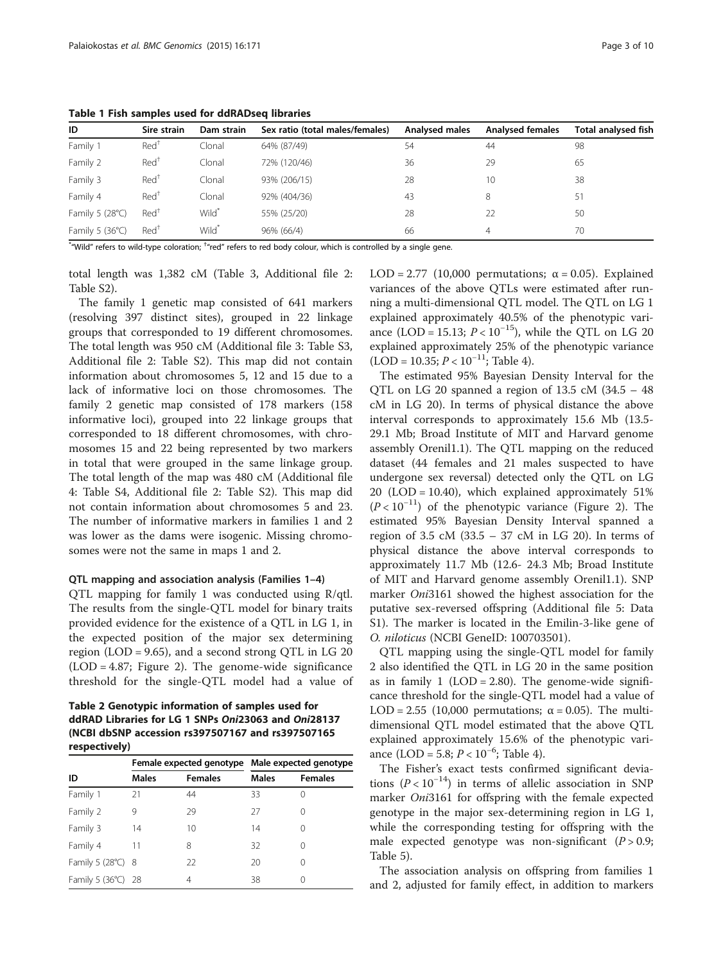<span id="page-2-0"></span>Table 1 Fish samples used for ddRADseq libraries

| ID                       | Sire strain      | Dam strain        | Sex ratio (total males/females) | <b>Analysed males</b> | <b>Analysed females</b> | Total analysed fish |
|--------------------------|------------------|-------------------|---------------------------------|-----------------------|-------------------------|---------------------|
| Family 1                 | Red <sup>T</sup> | Clonal            | 64% (87/49)                     | 54                    | 44                      | 98                  |
| Family 2                 | Red <sup>†</sup> | Clonal            | 72% (120/46)                    | 36                    | 29                      | 65                  |
| Family 3                 | Red <sup>†</sup> | Clonal            | 93% (206/15)                    | 28                    | 10                      | 38                  |
| Family 4                 | Red <sup>†</sup> | Clonal            | 92% (404/36)                    | 43                    | 8                       | 51                  |
| Family 5 $(28^{\circ}C)$ | Red <sup>†</sup> | Wild <sup>*</sup> | 55% (25/20)                     | 28                    | 22                      | 50                  |
| Family 5 $(36^{\circ}C)$ | Red <sup>†</sup> | Wild <sup>*</sup> | 96% (66/4)                      | 66                    | 4                       | 70                  |

 $^*$  Wild" refers to wild-type coloration;  $^*$  red" refers to red body colour, which is controlled by a single gene.

total length was 1,382 cM (Table [3](#page-4-0), Additional file [2](#page-8-0): Table S2).

The family 1 genetic map consisted of 641 markers (resolving 397 distinct sites), grouped in 22 linkage groups that corresponded to 19 different chromosomes. The total length was 950 cM (Additional file [3](#page-8-0): Table S3, Additional file [2](#page-8-0): Table S2). This map did not contain information about chromosomes 5, 12 and 15 due to a lack of informative loci on those chromosomes. The family 2 genetic map consisted of 178 markers (158 informative loci), grouped into 22 linkage groups that corresponded to 18 different chromosomes, with chromosomes 15 and 22 being represented by two markers in total that were grouped in the same linkage group. The total length of the map was 480 cM (Additional file [4:](#page-8-0) Table S4, Additional file [2](#page-8-0): Table S2). This map did not contain information about chromosomes 5 and 23. The number of informative markers in families 1 and 2 was lower as the dams were isogenic. Missing chromosomes were not the same in maps 1 and 2.

#### QTL mapping and association analysis (Families 1–4)

QTL mapping for family 1 was conducted using R/qtl. The results from the single-QTL model for binary traits provided evidence for the existence of a QTL in LG 1, in the expected position of the major sex determining region (LOD = 9.65), and a second strong QTL in LG  $20$ (LOD = 4.87; Figure [2\)](#page-4-0). The genome-wide significance threshold for the single-QTL model had a value of

Table 2 Genotypic information of samples used for ddRAD Libraries for LG 1 SNPs Oni23063 and Oni28137 (NCBI dbSNP accession rs397507167 and rs397507165 respectively)

|                    |              |                | Female expected genotype Male expected genotype |                |
|--------------------|--------------|----------------|-------------------------------------------------|----------------|
| ID                 | <b>Males</b> | <b>Females</b> | <b>Males</b>                                    | <b>Females</b> |
| Family 1           | 21           | 44             | 33                                              |                |
| Family 2           | 9            | 29             | 27                                              |                |
| Family 3           | 14           | 10             | 14                                              |                |
| Family 4           | 11           | 8              | 32                                              |                |
| Family 5 (28°C) 8  |              | 22             | 20                                              | $\left($       |
| Family 5 (36°C) 28 |              | 4              | 38                                              |                |

LOD = 2.77 (10,000 permutations;  $\alpha$  = 0.05). Explained variances of the above QTLs were estimated after running a multi-dimensional QTL model. The QTL on LG 1 explained approximately 40.5% of the phenotypic variance (LOD = 15.13;  $P < 10^{-15}$ ), while the QTL on LG 20 explained approximately 25% of the phenotypic variance  $(LOD = 10.35; P < 10^{-11};$  Table [4\)](#page-5-0).

The estimated 95% Bayesian Density Interval for the QTL on LG 20 spanned a region of 13.5 cM (34.5 – 48 cM in LG 20). In terms of physical distance the above interval corresponds to approximately 15.6 Mb (13.5- 29.1 Mb; Broad Institute of MIT and Harvard genome assembly Orenil1.1). The QTL mapping on the reduced dataset (44 females and 21 males suspected to have undergone sex reversal) detected only the QTL on LG 20 (LOD = 10.40), which explained approximately 51%  $(P < 10^{-11})$  of the phenotypic variance (Figure [2\)](#page-4-0). The estimated 95% Bayesian Density Interval spanned a region of 3.5 cM  $(33.5 - 37 \text{ cM} \text{ in LG } 20)$ . In terms of physical distance the above interval corresponds to approximately 11.7 Mb (12.6- 24.3 Mb; Broad Institute of MIT and Harvard genome assembly Orenil1.1). SNP marker Oni3161 showed the highest association for the putative sex-reversed offspring (Additional file [5](#page-8-0): Data S1). The marker is located in the Emilin-3-like gene of O. niloticus (NCBI GeneID: 100703501).

QTL mapping using the single-QTL model for family 2 also identified the QTL in LG 20 in the same position as in family  $1$  (LOD = 2.80). The genome-wide significance threshold for the single-QTL model had a value of LOD = 2.55 (10,000 permutations;  $\alpha$  = 0.05). The multidimensional QTL model estimated that the above QTL explained approximately 15.6% of the phenotypic variance (LOD = 5.8;  $P < 10^{-6}$ ; Table [4\)](#page-5-0).

The Fisher's exact tests confirmed significant deviations ( $P < 10^{-14}$ ) in terms of allelic association in SNP marker *Oni*3161 for offspring with the female expected genotype in the major sex-determining region in LG 1, while the corresponding testing for offspring with the male expected genotype was non-significant  $(P > 0.9;$ Table [5\)](#page-5-0).

The association analysis on offspring from families 1 and 2, adjusted for family effect, in addition to markers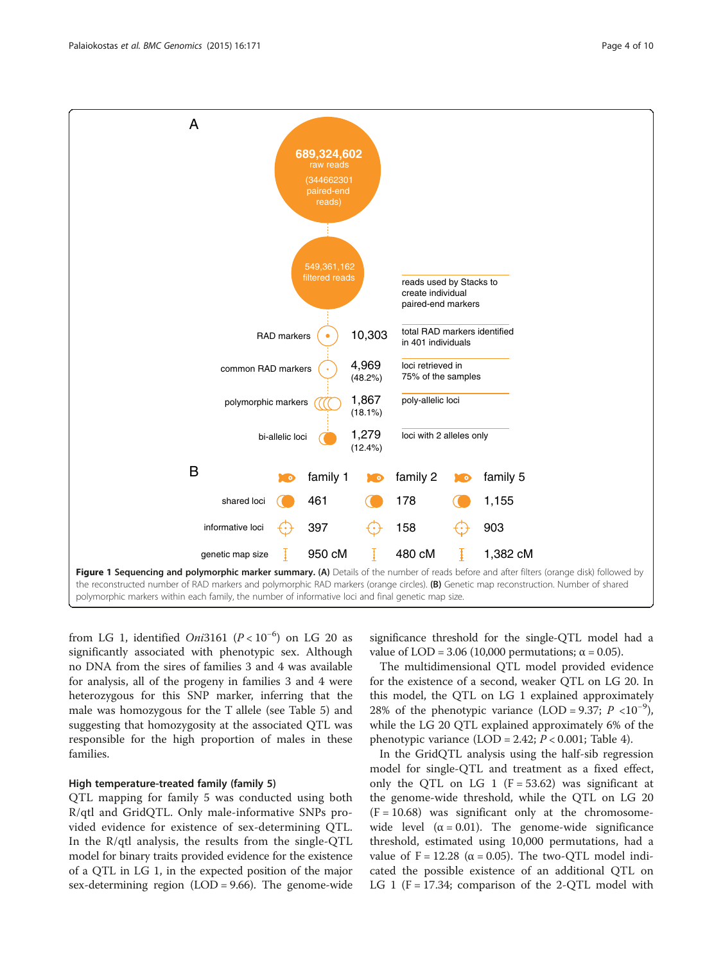<span id="page-3-0"></span>

from LG 1, identified  $Oni3161$   $(P < 10^{-6})$  on LG 20 as significantly associated with phenotypic sex. Although no DNA from the sires of families 3 and 4 was available for analysis, all of the progeny in families 3 and 4 were heterozygous for this SNP marker, inferring that the male was homozygous for the T allele (see Table [5\)](#page-5-0) and suggesting that homozygosity at the associated QTL was responsible for the high proportion of males in these families.

## High temperature-treated family (family 5)

QTL mapping for family 5 was conducted using both R/qtl and GridQTL. Only male-informative SNPs provided evidence for existence of sex-determining QTL. In the R/qtl analysis, the results from the single-QTL model for binary traits provided evidence for the existence of a QTL in LG 1, in the expected position of the major sex-determining region (LOD = 9.66). The genome-wide

significance threshold for the single-QTL model had a value of LOD = 3.06 (10,000 permutations;  $\alpha$  = 0.05).

The multidimensional QTL model provided evidence for the existence of a second, weaker QTL on LG 20. In this model, the QTL on LG 1 explained approximately 28% of the phenotypic variance (LOD = 9.37;  $P < 10^{-9}$ ), while the LG 20 QTL explained approximately 6% of the phenotypic variance  $(LOD = 2.42; P < 0.001;$  Table [4](#page-5-0)).

In the GridQTL analysis using the half-sib regression model for single-QTL and treatment as a fixed effect, only the QTL on LG 1 ( $F = 53.62$ ) was significant at the genome-wide threshold, while the QTL on LG 20  $(F = 10.68)$  was significant only at the chromosomewide level  $(\alpha = 0.01)$ . The genome-wide significance threshold, estimated using 10,000 permutations, had a value of F = 12.28 ( $\alpha$  = 0.05). The two-QTL model indicated the possible existence of an additional QTL on LG 1 ( $F = 17.34$ ; comparison of the 2-QTL model with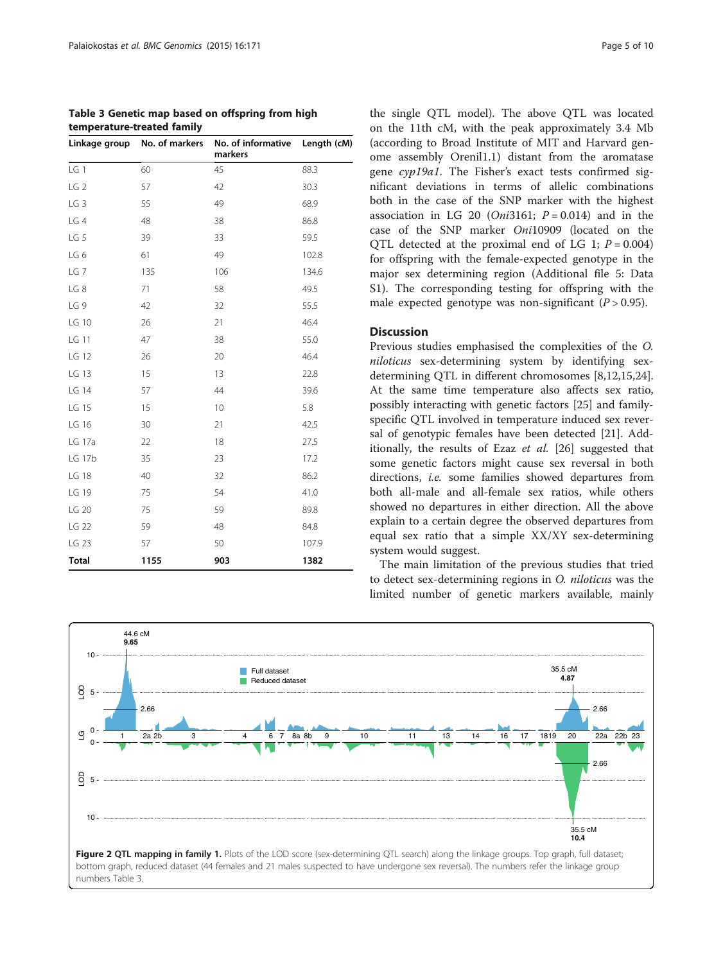<span id="page-4-0"></span>

| Table 3 Genetic map based on offspring from high |  |
|--------------------------------------------------|--|
| temperature-treated family                       |  |

|                 | Linkage group No. of markers | No. of informative Length (cM)<br>markers |       |
|-----------------|------------------------------|-------------------------------------------|-------|
| LG 1            | 60                           | 45                                        | 88.3  |
| LG <sub>2</sub> | 57                           | 42                                        | 30.3  |
| LG <sub>3</sub> | 55                           | 49                                        | 68.9  |
| LG 4            | 48                           | 38                                        | 86.8  |
| LG 5            | 39                           | 33                                        | 59.5  |
| LG6             | 61                           | 49                                        | 102.8 |
| LG <sub>7</sub> | 135                          | 106                                       | 134.6 |
| LG8             | 71                           | 58                                        | 49.5  |
| LG 9            | 42                           | 32                                        | 55.5  |
| LG 10           | 26                           | 21                                        | 46.4  |
| LG 11           | 47                           | 38                                        | 55.0  |
| LG 12           | 26                           | 20                                        | 46.4  |
| LG 13           | 15                           | 13                                        | 22.8  |
| LG 14           | 57                           | 44                                        | 39.6  |
| LG 15           | 15                           | 10                                        | 5.8   |
| LG 16           | 30                           | 21                                        | 42.5  |
| LG 17a          | 22                           | 18                                        | 27.5  |
| LG 17b          | 35                           | 23                                        | 17.2  |
| LG 18           | 40                           | 32                                        | 86.2  |
| LG 19           | 75                           | 54                                        | 41.0  |
| LG 20           | 75                           | 59                                        | 89.8  |
| LG 22           | 59                           | 48                                        | 84.8  |
| LG 23           | 57                           | 50                                        | 107.9 |
| <b>Total</b>    | 1155                         | 903                                       | 1382  |

the single QTL model). The above QTL was located on the 11th cM, with the peak approximately 3.4 Mb (according to Broad Institute of MIT and Harvard genome assembly Orenil1.1) distant from the aromatase gene cyp19a1. The Fisher's exact tests confirmed significant deviations in terms of allelic combinations both in the case of the SNP marker with the highest association in LG 20 (*Oni*3161;  $P = 0.014$ ) and in the case of the SNP marker Oni10909 (located on the OTL detected at the proximal end of LG 1;  $P = 0.004$ ) for offspring with the female-expected genotype in the major sex determining region (Additional file [5](#page-8-0): Data S1). The corresponding testing for offspring with the male expected genotype was non-significant  $(P > 0.95)$ .

#### Discussion

Previous studies emphasised the complexities of the O. niloticus sex-determining system by identifying sexdetermining QTL in different chromosomes [\[8](#page-8-0),[12](#page-8-0)[,15,24](#page-9-0)]. At the same time temperature also affects sex ratio, possibly interacting with genetic factors [\[25](#page-9-0)] and familyspecific QTL involved in temperature induced sex reversal of genotypic females have been detected [\[21](#page-9-0)]. Additionally, the results of Ezaz et al. [\[26](#page-9-0)] suggested that some genetic factors might cause sex reversal in both directions, i.e. some families showed departures from both all-male and all-female sex ratios, while others showed no departures in either direction. All the above explain to a certain degree the observed departures from equal sex ratio that a simple XX/XY sex-determining system would suggest.

The main limitation of the previous studies that tried to detect sex-determining regions in O. niloticus was the limited number of genetic markers available, mainly

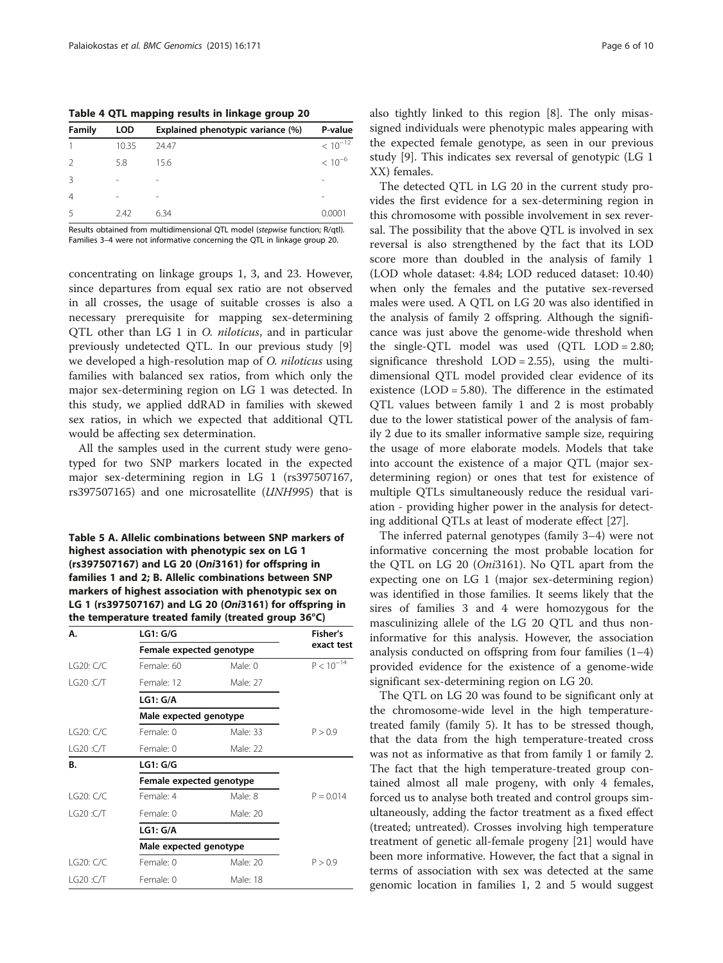<span id="page-5-0"></span>Table 4 QTL mapping results in linkage group 20

| LOD                      | Explained phenotypic variance (%) | P-value      |
|--------------------------|-----------------------------------|--------------|
| 10.35                    | 24.47                             | $< 10^{-12}$ |
| 5.8                      | 15.6                              | $< 10^{-6}$  |
| $\overline{\phantom{a}}$ | -                                 |              |
| ۰                        | -                                 |              |
| 2.42                     | 6.34                              | 0.0001       |
|                          |                                   |              |

Results obtained from multidimensional QTL model (stepwise function; R/qtl). Families 3–4 were not informative concerning the QTL in linkage group 20.

concentrating on linkage groups 1, 3, and 23. However, since departures from equal sex ratio are not observed in all crosses, the usage of suitable crosses is also a necessary prerequisite for mapping sex-determining QTL other than LG 1 in O. niloticus, and in particular previously undetected QTL. In our previous study [\[9](#page-8-0)] we developed a high-resolution map of O. niloticus using families with balanced sex ratios, from which only the major sex-determining region on LG 1 was detected. In this study, we applied ddRAD in families with skewed sex ratios, in which we expected that additional QTL would be affecting sex determination.

All the samples used in the current study were genotyped for two SNP markers located in the expected major sex-determining region in LG 1 (rs397507167, rs397507165) and one microsatellite (UNH995) that is

Table 5 A. Allelic combinations between SNP markers of highest association with phenotypic sex on LG 1 (rs397507167) and LG 20 (Oni3161) for offspring in families 1 and 2; B. Allelic combinations between SNP markers of highest association with phenotypic sex on LG 1 (rs397507167) and LG 20 (Oni3161) for offspring in the temperature treated family (treated group 36°C)

| Α.         | <b>LG1: G/G</b>          |            | Fisher's       |
|------------|--------------------------|------------|----------------|
|            | Female expected genotype | exact test |                |
| LG20: C/C  | Female: 60               | Male: 0    | $P < 10^{-14}$ |
| LG20:CT    | Female: 12               | Male: 27   |                |
|            | LG1: G/A                 |            |                |
|            | Male expected genotype   |            |                |
| LG20: C/C  | Female: 0                | Male: 33   | P > 0.9        |
| LG20:CT    | Female: 0                | Male: 22   |                |
| В.         | LG1:G/G                  |            |                |
|            | Female expected genotype |            |                |
| 1 G20: C/C | Female: 4                | Male: 8    | $P = 0.014$    |
| LG20 :C/T  | Female: 0                | Male: 20   |                |
|            | LG1: G/A                 |            |                |
|            | Male expected genotype   |            |                |
| LG20: C/C  | Female: 0                | Male: 20   | P > 0.9        |
| LG20:CT    | Female: 0                | Male: 18   |                |

also tightly linked to this region [\[8](#page-8-0)]. The only misassigned individuals were phenotypic males appearing with the expected female genotype, as seen in our previous study [\[9](#page-8-0)]. This indicates sex reversal of genotypic (LG 1 XX) females.

The detected QTL in LG 20 in the current study provides the first evidence for a sex-determining region in this chromosome with possible involvement in sex reversal. The possibility that the above QTL is involved in sex reversal is also strengthened by the fact that its LOD score more than doubled in the analysis of family 1 (LOD whole dataset: 4.84; LOD reduced dataset: 10.40) when only the females and the putative sex-reversed males were used. A QTL on LG 20 was also identified in the analysis of family 2 offspring. Although the significance was just above the genome-wide threshold when the single-QTL model was used (QTL LOD = 2.80; significance threshold  $LOD = 2.55$ , using the multidimensional QTL model provided clear evidence of its existence (LOD = 5.80). The difference in the estimated QTL values between family 1 and 2 is most probably due to the lower statistical power of the analysis of family 2 due to its smaller informative sample size, requiring the usage of more elaborate models. Models that take into account the existence of a major QTL (major sexdetermining region) or ones that test for existence of multiple QTLs simultaneously reduce the residual variation - providing higher power in the analysis for detecting additional QTLs at least of moderate effect [[27\]](#page-9-0).

The inferred paternal genotypes (family 3–4) were not informative concerning the most probable location for the QTL on LG 20 (Oni3161). No QTL apart from the expecting one on LG 1 (major sex-determining region) was identified in those families. It seems likely that the sires of families 3 and 4 were homozygous for the masculinizing allele of the LG 20 QTL and thus noninformative for this analysis. However, the association analysis conducted on offspring from four families (1–4) provided evidence for the existence of a genome-wide significant sex-determining region on LG 20.

The QTL on LG 20 was found to be significant only at the chromosome-wide level in the high temperaturetreated family (family 5). It has to be stressed though, that the data from the high temperature-treated cross was not as informative as that from family 1 or family 2. The fact that the high temperature-treated group contained almost all male progeny, with only 4 females, forced us to analyse both treated and control groups simultaneously, adding the factor treatment as a fixed effect (treated; untreated). Crosses involving high temperature treatment of genetic all-female progeny [\[21\]](#page-9-0) would have been more informative. However, the fact that a signal in terms of association with sex was detected at the same genomic location in families 1, 2 and 5 would suggest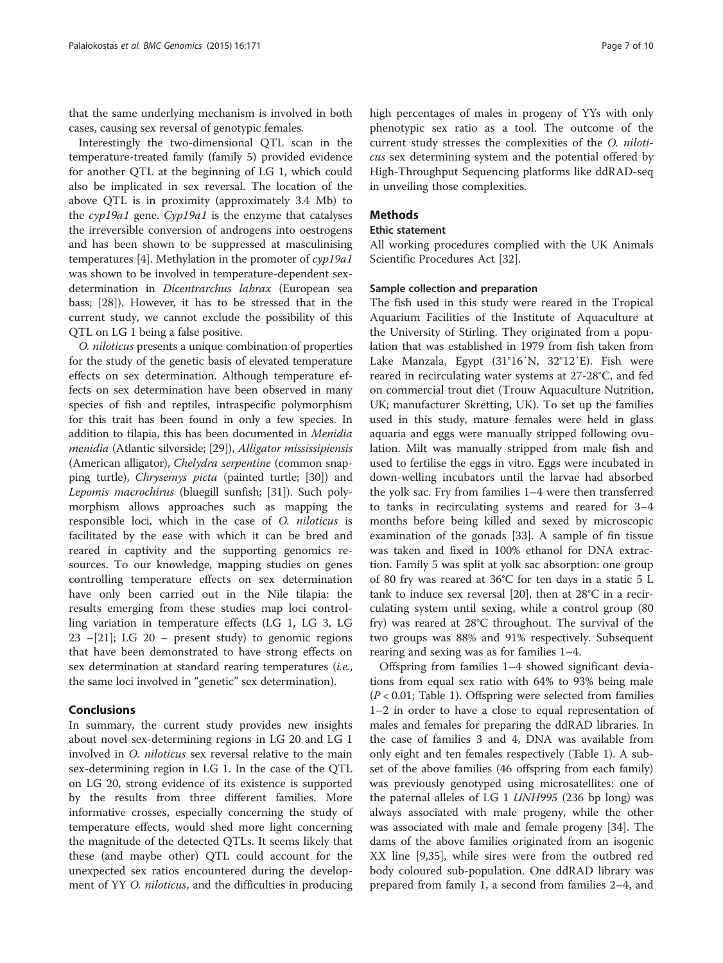that the same underlying mechanism is involved in both cases, causing sex reversal of genotypic females.

Interestingly the two-dimensional QTL scan in the temperature-treated family (family 5) provided evidence for another QTL at the beginning of LG 1, which could also be implicated in sex reversal. The location of the above QTL is in proximity (approximately 3.4 Mb) to the cyp19a1 gene. Cyp19a1 is the enzyme that catalyses the irreversible conversion of androgens into oestrogens and has been shown to be suppressed at masculinising temperatures [[4\]](#page-8-0). Methylation in the promoter of cyp19a1 was shown to be involved in temperature-dependent sexdetermination in Dicentrarchus labrax (European sea bass; [[28\]](#page-9-0)). However, it has to be stressed that in the current study, we cannot exclude the possibility of this QTL on LG 1 being a false positive.

O. niloticus presents a unique combination of properties for the study of the genetic basis of elevated temperature effects on sex determination. Although temperature effects on sex determination have been observed in many species of fish and reptiles, intraspecific polymorphism for this trait has been found in only a few species. In addition to tilapia, this has been documented in Menidia menidia (Atlantic silverside; [\[29](#page-9-0)]), Alligator mississipiensis (American alligator), Chelydra serpentine (common snapping turtle), Chrysemys picta (painted turtle; [[30](#page-9-0)]) and Lepomis macrochirus (bluegill sunfish; [\[31\]](#page-9-0)). Such polymorphism allows approaches such as mapping the responsible loci, which in the case of O. niloticus is facilitated by the ease with which it can be bred and reared in captivity and the supporting genomics resources. To our knowledge, mapping studies on genes controlling temperature effects on sex determination have only been carried out in the Nile tilapia: the results emerging from these studies map loci controlling variation in temperature effects (LG 1, LG 3, LG  $23 - [21]$  $23 - [21]$  $23 - [21]$ ; LG  $20 -$  present study) to genomic regions that have been demonstrated to have strong effects on sex determination at standard rearing temperatures (i.e., the same loci involved in "genetic" sex determination).

#### Conclusions

In summary, the current study provides new insights about novel sex-determining regions in LG 20 and LG 1 involved in O. niloticus sex reversal relative to the main sex-determining region in LG 1. In the case of the QTL on LG 20, strong evidence of its existence is supported by the results from three different families. More informative crosses, especially concerning the study of temperature effects, would shed more light concerning the magnitude of the detected QTLs. It seems likely that these (and maybe other) QTL could account for the unexpected sex ratios encountered during the development of YY O. niloticus, and the difficulties in producing high percentages of males in progeny of YYs with only phenotypic sex ratio as a tool. The outcome of the current study stresses the complexities of the O. niloticus sex determining system and the potential offered by High-Throughput Sequencing platforms like ddRAD-seq in unveiling those complexities.

# Methods

#### Ethic statement

All working procedures complied with the UK Animals Scientific Procedures Act [\[32\]](#page-9-0).

#### Sample collection and preparation

The fish used in this study were reared in the Tropical Aquarium Facilities of the Institute of Aquaculture at the University of Stirling. They originated from a population that was established in 1979 from fish taken from Lake Manzala, Egypt (31°16′N, 32°12′E). Fish were reared in recirculating water systems at 27-28°C, and fed on commercial trout diet (Trouw Aquaculture Nutrition, UK; manufacturer Skretting, UK). To set up the families used in this study, mature females were held in glass aquaria and eggs were manually stripped following ovulation. Milt was manually stripped from male fish and used to fertilise the eggs in vitro. Eggs were incubated in down-welling incubators until the larvae had absorbed the yolk sac. Fry from families 1–4 were then transferred to tanks in recirculating systems and reared for 3–4 months before being killed and sexed by microscopic examination of the gonads [[33\]](#page-9-0). A sample of fin tissue was taken and fixed in 100% ethanol for DNA extraction. Family 5 was split at yolk sac absorption: one group of 80 fry was reared at 36°C for ten days in a static 5 L tank to induce sex reversal [\[20\]](#page-9-0), then at 28°C in a recirculating system until sexing, while a control group (80 fry) was reared at 28°C throughout. The survival of the two groups was 88% and 91% respectively. Subsequent rearing and sexing was as for families 1–4.

Offspring from families 1–4 showed significant deviations from equal sex ratio with 64% to 93% being male  $(P < 0.01$ ; Table [1](#page-2-0)). Offspring were selected from families 1–2 in order to have a close to equal representation of males and females for preparing the ddRAD libraries. In the case of families 3 and 4, DNA was available from only eight and ten females respectively (Table [1\)](#page-2-0). A subset of the above families (46 offspring from each family) was previously genotyped using microsatellites: one of the paternal alleles of LG 1 UNH995 (236 bp long) was always associated with male progeny, while the other was associated with male and female progeny [\[34](#page-9-0)]. The dams of the above families originated from an isogenic XX line [[9,](#page-8-0)[35\]](#page-9-0), while sires were from the outbred red body coloured sub-population. One ddRAD library was prepared from family 1, a second from families 2–4, and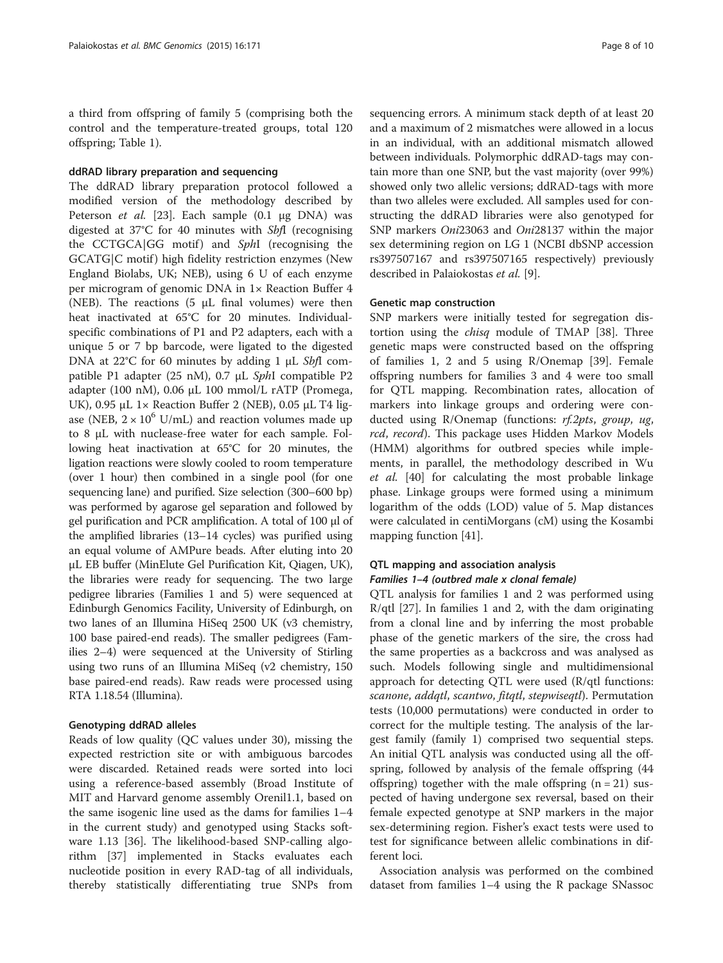a third from offspring of family 5 (comprising both the control and the temperature-treated groups, total 120 offspring; Table [1\)](#page-2-0).

#### ddRAD library preparation and sequencing

The ddRAD library preparation protocol followed a modified version of the methodology described by Peterson et al. [\[23](#page-9-0)]. Each sample (0.1 μg DNA) was digested at 37°C for 40 minutes with SbfI (recognising the CCTGCA|GG motif) and SphI (recognising the GCATG|C motif) high fidelity restriction enzymes (New England Biolabs, UK; NEB), using 6 U of each enzyme per microgram of genomic DNA in 1× Reaction Buffer 4 (NEB). The reactions  $(5 \mu L \text{ final volumes})$  were then heat inactivated at 65°C for 20 minutes. Individualspecific combinations of P1 and P2 adapters, each with a unique 5 or 7 bp barcode, were ligated to the digested DNA at 22°C for 60 minutes by adding 1 μL SbfI compatible P1 adapter (25 nM), 0.7 μL SphI compatible P2 adapter (100 nM), 0.06 μL 100 mmol/L rATP (Promega, UK), 0.95 μL  $1 \times$  Reaction Buffer 2 (NEB), 0.05 μL T4 ligase (NEB,  $2 \times 10^6$  U/mL) and reaction volumes made up to 8 μL with nuclease-free water for each sample. Following heat inactivation at 65°C for 20 minutes, the ligation reactions were slowly cooled to room temperature (over 1 hour) then combined in a single pool (for one sequencing lane) and purified. Size selection (300–600 bp) was performed by agarose gel separation and followed by gel purification and PCR amplification. A total of 100 μl of the amplified libraries (13–14 cycles) was purified using an equal volume of AMPure beads. After eluting into 20 μL EB buffer (MinElute Gel Purification Kit, Qiagen, UK), the libraries were ready for sequencing. The two large pedigree libraries (Families 1 and 5) were sequenced at Edinburgh Genomics Facility, University of Edinburgh, on two lanes of an Illumina HiSeq 2500 UK (v3 chemistry, 100 base paired-end reads). The smaller pedigrees (Families 2–4) were sequenced at the University of Stirling using two runs of an Illumina MiSeq (v2 chemistry, 150 base paired-end reads). Raw reads were processed using RTA 1.18.54 (Illumina).

#### Genotyping ddRAD alleles

Reads of low quality (QC values under 30), missing the expected restriction site or with ambiguous barcodes were discarded. Retained reads were sorted into loci using a reference-based assembly (Broad Institute of MIT and Harvard genome assembly Orenil1.1, based on the same isogenic line used as the dams for families 1–4 in the current study) and genotyped using Stacks software 1.13 [\[36](#page-9-0)]. The likelihood-based SNP-calling algorithm [\[37](#page-9-0)] implemented in Stacks evaluates each nucleotide position in every RAD-tag of all individuals, thereby statistically differentiating true SNPs from

sequencing errors. A minimum stack depth of at least 20 and a maximum of 2 mismatches were allowed in a locus in an individual, with an additional mismatch allowed between individuals. Polymorphic ddRAD-tags may contain more than one SNP, but the vast majority (over 99%) showed only two allelic versions; ddRAD-tags with more than two alleles were excluded. All samples used for constructing the ddRAD libraries were also genotyped for SNP markers Oni23063 and Oni28137 within the major sex determining region on LG 1 (NCBI dbSNP accession rs397507167 and rs397507165 respectively) previously described in Palaiokostas et al. [[9\]](#page-8-0).

#### Genetic map construction

SNP markers were initially tested for segregation distortion using the chisq module of TMAP [\[38\]](#page-9-0). Three genetic maps were constructed based on the offspring of families 1, 2 and 5 using R/Onemap [[39\]](#page-9-0). Female offspring numbers for families 3 and 4 were too small for QTL mapping. Recombination rates, allocation of markers into linkage groups and ordering were conducted using R/Onemap (functions: rf.2pts, group, ug, rcd, record). This package uses Hidden Markov Models (HMM) algorithms for outbred species while implements, in parallel, the methodology described in Wu et al. [\[40\]](#page-9-0) for calculating the most probable linkage phase. Linkage groups were formed using a minimum logarithm of the odds (LOD) value of 5. Map distances were calculated in centiMorgans (cM) using the Kosambi mapping function [\[41\]](#page-9-0).

# QTL mapping and association analysis Families 1–4 (outbred male x clonal female)

QTL analysis for families 1 and 2 was performed using  $R/dt$  [[27\]](#page-9-0). In families 1 and 2, with the dam originating from a clonal line and by inferring the most probable phase of the genetic markers of the sire, the cross had the same properties as a backcross and was analysed as such. Models following single and multidimensional approach for detecting QTL were used (R/qtl functions: scanone, addqtl, scantwo, fitqtl, stepwiseqtl). Permutation tests (10,000 permutations) were conducted in order to correct for the multiple testing. The analysis of the largest family (family 1) comprised two sequential steps. An initial QTL analysis was conducted using all the offspring, followed by analysis of the female offspring (44 offspring) together with the male offspring  $(n = 21)$  suspected of having undergone sex reversal, based on their female expected genotype at SNP markers in the major sex-determining region. Fisher's exact tests were used to test for significance between allelic combinations in different loci.

Association analysis was performed on the combined dataset from families 1–4 using the R package SNassoc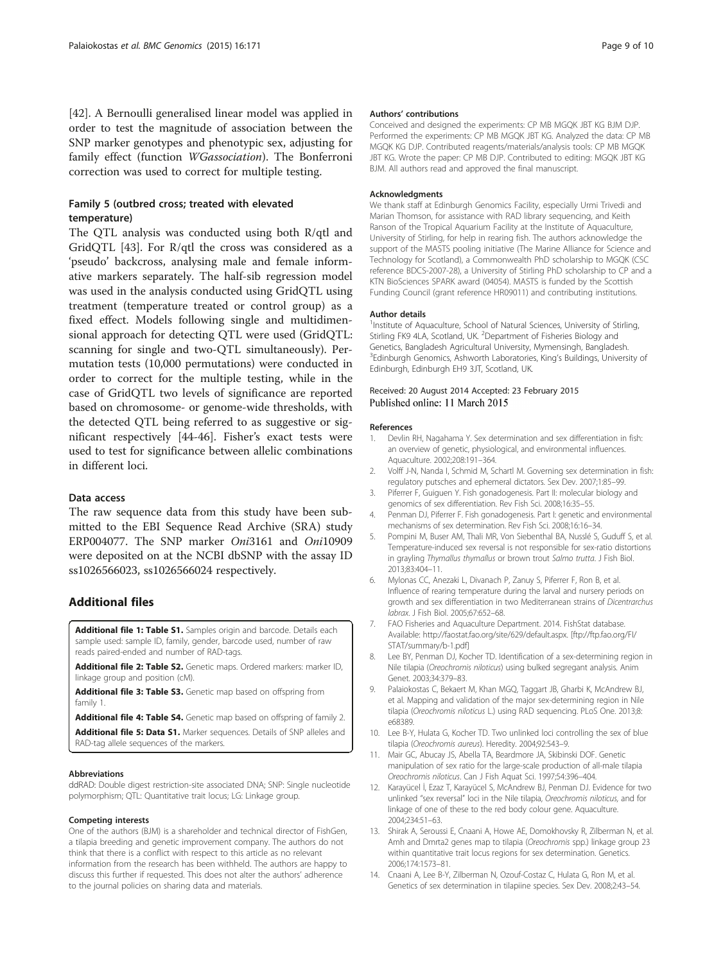<span id="page-8-0"></span>[[42\]](#page-9-0). A Bernoulli generalised linear model was applied in order to test the magnitude of association between the SNP marker genotypes and phenotypic sex, adjusting for family effect (function WGassociation). The Bonferroni correction was used to correct for multiple testing.

# Family 5 (outbred cross; treated with elevated temperature)

The QTL analysis was conducted using both R/qtl and GridQTL [\[43](#page-9-0)]. For R/qtl the cross was considered as a 'pseudo' backcross, analysing male and female informative markers separately. The half-sib regression model was used in the analysis conducted using GridQTL using treatment (temperature treated or control group) as a fixed effect. Models following single and multidimensional approach for detecting QTL were used (GridQTL: scanning for single and two-QTL simultaneously). Permutation tests (10,000 permutations) were conducted in order to correct for the multiple testing, while in the case of GridQTL two levels of significance are reported based on chromosome- or genome-wide thresholds, with the detected QTL being referred to as suggestive or significant respectively [[44-46\]](#page-9-0). Fisher's exact tests were used to test for significance between allelic combinations in different loci.

# Data access

The raw sequence data from this study have been submitted to the EBI Sequence Read Archive (SRA) study ERP004077. The SNP marker Oni3161 and Oni10909 were deposited on at the NCBI dbSNP with the assay ID ss1026566023, ss1026566024 respectively.

# Additional files

[Additional file 1: Table S1.](http://www.biomedcentral.com/content/supplementary/s12864-015-1383-x-s1.csv) Samples origin and barcode. Details each sample used: sample ID, family, gender, barcode used, number of raw reads paired-ended and number of RAD-tags.

[Additional file 2: Table S2.](http://www.biomedcentral.com/content/supplementary/s12864-015-1383-x-s2.csv) Genetic maps. Ordered markers: marker ID, linkage group and position (cM).

[Additional file 3: Table S3.](http://www.biomedcentral.com/content/supplementary/s12864-015-1383-x-s3.csv) Genetic map based on offspring from family 1.

[Additional file 4: Table S4.](http://www.biomedcentral.com/content/supplementary/s12864-015-1383-x-s4.csv) Genetic map based on offspring of family 2.

[Additional file 5: Data S1.](http://www.biomedcentral.com/content/supplementary/s12864-015-1383-x-s5.zip) Marker sequences. Details of SNP alleles and RAD-tag allele sequences of the markers.

#### Abbreviations

ddRAD: Double digest restriction-site associated DNA; SNP: Single nucleotide polymorphism; QTL: Quantitative trait locus; LG: Linkage group.

#### Competing interests

One of the authors (BJM) is a shareholder and technical director of FishGen, a tilapia breeding and genetic improvement company. The authors do not think that there is a conflict with respect to this article as no relevant information from the research has been withheld. The authors are happy to discuss this further if requested. This does not alter the authors' adherence to the journal policies on sharing data and materials.

#### Authors' contributions

Conceived and designed the experiments: CP MB MGQK JBT KG BJM DJP. Performed the experiments: CP MB MGQK JBT KG. Analyzed the data: CP MB MGQK KG DJP. Contributed reagents/materials/analysis tools: CP MB MGQK JBT KG. Wrote the paper: CP MB DJP. Contributed to editing: MGQK JBT KG BJM. All authors read and approved the final manuscript.

#### Acknowledgments

We thank staff at Edinburgh Genomics Facility, especially Urmi Trivedi and Marian Thomson, for assistance with RAD library sequencing, and Keith Ranson of the Tropical Aquarium Facility at the Institute of Aquaculture, University of Stirling, for help in rearing fish. The authors acknowledge the support of the MASTS pooling initiative (The Marine Alliance for Science and Technology for Scotland), a Commonwealth PhD scholarship to MGQK (CSC reference BDCS-2007-28), a University of Stirling PhD scholarship to CP and a KTN BioSciences SPARK award (04054). MASTS is funded by the Scottish Funding Council (grant reference HR09011) and contributing institutions.

#### Author details

<sup>1</sup>Institute of Aquaculture, School of Natural Sciences, University of Stirling Stirling FK9 4LA, Scotland, UK. <sup>2</sup>Department of Fisheries Biology and Genetics, Bangladesh Agricultural University, Mymensingh, Bangladesh. <sup>3</sup>Edinburgh Genomics, Ashworth Laboratories, King's Buildings, University of Edinburgh, Edinburgh EH9 3JT, Scotland, UK.

#### Received: 20 August 2014 Accepted: 23 February 2015 Published online: 11 March 2015

#### References

- 1. Devlin RH, Nagahama Y. Sex determination and sex differentiation in fish: an overview of genetic, physiological, and environmental influences. Aquaculture. 2002;208:191–364.
- 2. Volff J-N, Nanda I, Schmid M, Schartl M. Governing sex determination in fish: regulatory putsches and ephemeral dictators. Sex Dev. 2007;1:85–99.
- 3. Piferrer F, Guiguen Y. Fish gonadogenesis. Part II: molecular biology and genomics of sex differentiation. Rev Fish Sci. 2008;16:35–55.
- 4. Penman DJ, Piferrer F. Fish gonadogenesis. Part I: genetic and environmental mechanisms of sex determination. Rev Fish Sci. 2008;16:16–34.
- 5. Pompini M, Buser AM, Thali MR, Von Siebenthal BA, Nusslé S, Guduff S, et al. Temperature-induced sex reversal is not responsible for sex-ratio distortions in grayling Thymallus thymallus or brown trout Salmo trutta. J Fish Biol. 2013;83:404–11.
- 6. Mylonas CC, Anezaki L, Divanach P, Zanuy S, Piferrer F, Ron B, et al. Influence of rearing temperature during the larval and nursery periods on growth and sex differentiation in two Mediterranean strains of Dicentrarchus labrax. J Fish Biol. 2005;67:652–68.
- 7. FAO Fisheries and Aquaculture Department. 2014. FishStat database. Available:<http://faostat.fao.org/site/629/default.aspx>. [\[ftp://ftp.fao.org/FI/](ftp://ftp.fao.org/FI/STAT/summary/b-1.pdf) [STAT/summary/b-1.pdf\]](ftp://ftp.fao.org/FI/STAT/summary/b-1.pdf)
- 8. Lee BY, Penman DJ, Kocher TD. Identification of a sex-determining region in Nile tilapia (Oreochromis niloticus) using bulked segregant analysis. Anim Genet. 2003;34:379–83.
- 9. Palaiokostas C, Bekaert M, Khan MGQ, Taggart JB, Gharbi K, McAndrew BJ, et al. Mapping and validation of the major sex-determining region in Nile tilapia (Oreochromis niloticus L.) using RAD sequencing. PLoS One. 2013;8: e68389.
- 10. Lee B-Y, Hulata G, Kocher TD. Two unlinked loci controlling the sex of blue tilapia (Oreochromis aureus). Heredity. 2004;92:543–9.
- 11. Mair GC, Abucay JS, Abella TA, Beardmore JA, Skibinski DOF. Genetic manipulation of sex ratio for the large-scale production of all-male tilapia Oreochromis niloticus. Can J Fish Aquat Sci. 1997;54:396–404.
- 12. Karayücel İ, Ezaz T, Karayücel S, McAndrew BJ, Penman DJ. Evidence for two unlinked "sex reversal" loci in the Nile tilapia, Oreochromis niloticus, and for linkage of one of these to the red body colour gene. Aquaculture. 2004;234:51–63.
- 13. Shirak A, Seroussi E, Cnaani A, Howe AE, Domokhovsky R, Zilberman N, et al. Amh and Dmrta2 genes map to tilapia (Oreochromis spp.) linkage group 23 within quantitative trait locus regions for sex determination. Genetics. 2006;174:1573–81.
- 14. Cnaani A, Lee B-Y, Zilberman N, Ozouf-Costaz C, Hulata G, Ron M, et al. Genetics of sex determination in tilapiine species. Sex Dev. 2008;2:43–54.